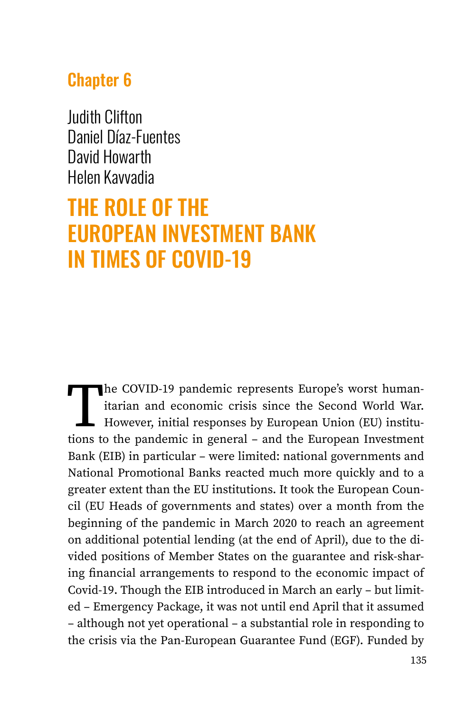# Chapter 6

Judith Clifton Daniel Díaz-Fuentes David Howarth Helen Kavvadia

# THE ROLE OF THE EUROPEAN INVESTMENT BANK IN TIMES OF COVID-19

The COVID-19 pandemic represents Europe's worst human-<br>itarian and economic crisis since the Second World War.<br>However, initial responses by European Union (EU) institu-<br>tions to the pandemic in general – and the European itarian and economic crisis since the Second World War. However, initial responses by European Union (EU) institutions to the pandemic in general – and the European Investment Bank (EIB) in particular – were limited: national governments and National Promotional Banks reacted much more quickly and to a greater extent than the EU institutions. It took the European Council (EU Heads of governments and states) over a month from the beginning of the pandemic in March 2020 to reach an agreement on additional potential lending (at the end of April), due to the divided positions of Member States on the guarantee and risk-sharing financial arrangements to respond to the economic impact of Covid-19. Though the EIB introduced in March an early – but limited – Emergency Package, it was not until end April that it assumed – although not yet operational – a substantial role in responding to the crisis via the Pan-European Guarantee Fund (EGF). Funded by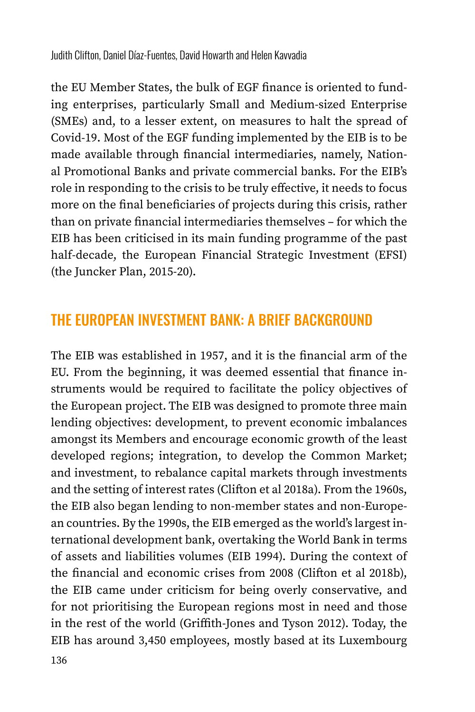the EU Member States, the bulk of EGF finance is oriented to funding enterprises, particularly Small and Medium-sized Enterprise (SMEs) and, to a lesser extent, on measures to halt the spread of Covid-19. Most of the EGF funding implemented by the EIB is to be made available through financial intermediaries, namely, National Promotional Banks and private commercial banks. For the EIB's role in responding to the crisis to be truly effective, it needs to focus more on the final beneficiaries of projects during this crisis, rather than on private financial intermediaries themselves – for which the EIB has been criticised in its main funding programme of the past half-decade, the European Financial Strategic Investment (EFSI) (the Juncker Plan, 2015-20).

## THE EUROPEAN INVESTMENT BANK: A BRIEF BACKGROUND

The EIB was established in 1957, and it is the financial arm of the EU. From the beginning, it was deemed essential that finance instruments would be required to facilitate the policy objectives of the European project. The EIB was designed to promote three main lending objectives: development, to prevent economic imbalances amongst its Members and encourage economic growth of the least developed regions; integration, to develop the Common Market; and investment, to rebalance capital markets through investments and the setting of interest rates (Clifton et al 2018a). From the 1960s, the EIB also began lending to non-member states and non-European countries. By the 1990s, the EIB emerged as the world's largest international development bank, overtaking the World Bank in terms of assets and liabilities volumes (EIB 1994). During the context of the financial and economic crises from 2008 (Clifton et al 2018b), the EIB came under criticism for being overly conservative, and for not prioritising the European regions most in need and those in the rest of the world (Griffith-Jones and Tyson 2012). Today, the EIB has around 3,450 employees, mostly based at its Luxembourg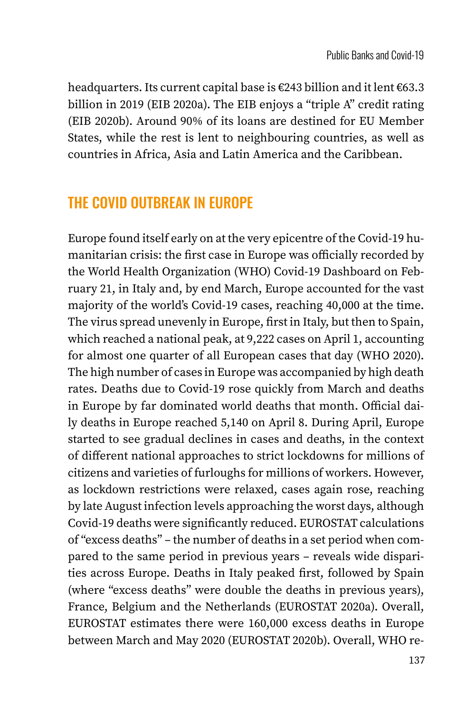headquarters. Its current capital base is €243 billion and it lent €63.3 billion in 2019 (EIB 2020a). The EIB enjoys a "triple A" credit rating (EIB 2020b). Around 90% of its loans are destined for EU Member States, while the rest is lent to neighbouring countries, as well as countries in Africa, Asia and Latin America and the Caribbean.

# THE COVID OUTBREAK IN EUROPE

Europe found itself early on at the very epicentre of the Covid-19 humanitarian crisis: the first case in Europe was officially recorded by the World Health Organization (WHO) Covid-19 Dashboard on February 21, in Italy and, by end March, Europe accounted for the vast majority of the world's Covid-19 cases, reaching 40,000 at the time. The virus spread unevenly in Europe, first in Italy, but then to Spain, which reached a national peak, at 9,222 cases on April 1, accounting for almost one quarter of all European cases that day (WHO 2020). The high number of cases in Europe was accompanied by high death rates. Deaths due to Covid-19 rose quickly from March and deaths in Europe by far dominated world deaths that month. Official daily deaths in Europe reached 5,140 on April 8. During April, Europe started to see gradual declines in cases and deaths, in the context of different national approaches to strict lockdowns for millions of citizens and varieties of furloughs for millions of workers. However, as lockdown restrictions were relaxed, cases again rose, reaching by late August infection levels approaching the worst days, although Covid-19 deaths were significantly reduced. EUROSTAT calculations of "excess deaths" – the number of deaths in a set period when compared to the same period in previous years – reveals wide disparities across Europe. Deaths in Italy peaked first, followed by Spain (where "excess deaths" were double the deaths in previous years), France, Belgium and the Netherlands (EUROSTAT 2020a). Overall, EUROSTAT estimates there were 160,000 excess deaths in Europe between March and May 2020 (EUROSTAT 2020b). Overall, WHO re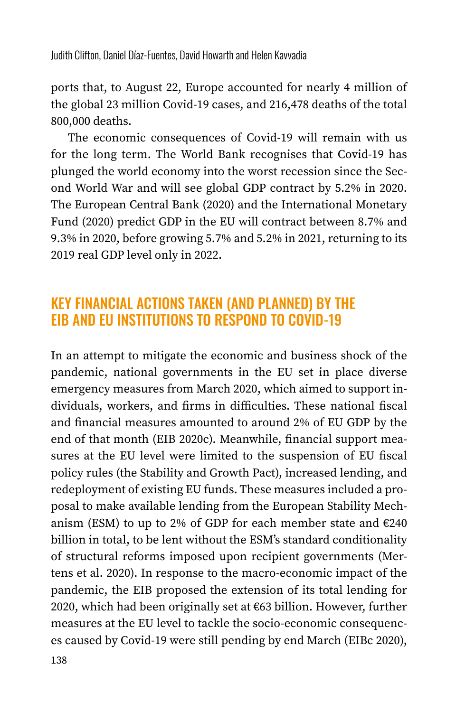Judith Clifton, Daniel Díaz-Fuentes, David Howarth and Helen Kavvadia

ports that, to August 22, Europe accounted for nearly 4 million of the global 23 million Covid-19 cases, and 216,478 deaths of the total 800,000 deaths.

The economic consequences of Covid-19 will remain with us for the long term. The World Bank recognises that Covid-19 has plunged the world economy into the worst recession since the Second World War and will see global GDP contract by 5.2% in 2020. The European Central Bank (2020) and the International Monetary Fund (2020) predict GDP in the EU will contract between 8.7% and 9.3% in 2020, before growing 5.7% and 5.2% in 2021, returning to its 2019 real GDP level only in 2022.

#### KEY FINANCIAL ACTIONS TAKEN (AND PLANNED) BY THE EIB AND EU INSTITUTIONS TO RESPOND TO COVID-19

In an attempt to mitigate the economic and business shock of the pandemic, national governments in the EU set in place diverse emergency measures from March 2020, which aimed to support individuals, workers, and firms in difficulties. These national fiscal and financial measures amounted to around 2% of EU GDP by the end of that month (EIB 2020c). Meanwhile, financial support measures at the EU level were limited to the suspension of EU fiscal policy rules (the Stability and Growth Pact), increased lending, and redeployment of existing EU funds. These measures included a proposal to make available lending from the European Stability Mechanism (ESM) to up to 2% of GDP for each member state and  $\epsilon$ 240 billion in total, to be lent without the ESM's standard conditionality of structural reforms imposed upon recipient governments (Mertens et al. 2020). In response to the macro-economic impact of the pandemic, the EIB proposed the extension of its total lending for 2020, which had been originally set at €63 billion. However, further measures at the EU level to tackle the socio-economic consequences caused by Covid-19 were still pending by end March (EIBc 2020),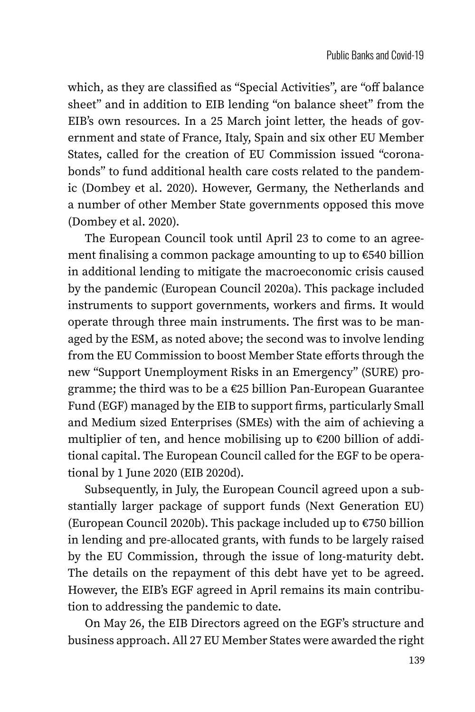which, as they are classified as "Special Activities", are "off balance sheet" and in addition to EIB lending "on balance sheet" from the EIB's own resources. In a 25 March joint letter, the heads of government and state of France, Italy, Spain and six other EU Member States, called for the creation of EU Commission issued "coronabonds" to fund additional health care costs related to the pandemic (Dombey et al. 2020). However, Germany, the Netherlands and a number of other Member State governments opposed this move (Dombey et al. 2020).

The European Council took until April 23 to come to an agreement finalising a common package amounting to up to €540 billion in additional lending to mitigate the macroeconomic crisis caused by the pandemic (European Council 2020a). This package included instruments to support governments, workers and firms. It would operate through three main instruments. The first was to be managed by the ESM, as noted above; the second was to involve lending from the EU Commission to boost Member State efforts through the new "Support Unemployment Risks in an Emergency" (SURE) programme; the third was to be a €25 billion Pan-European Guarantee Fund (EGF) managed by the EIB to support firms, particularly Small and Medium sized Enterprises (SMEs) with the aim of achieving a multiplier of ten, and hence mobilising up to €200 billion of additional capital. The European Council called for the EGF to be operational by 1 June 2020 (EIB 2020d).

Subsequently, in July, the European Council agreed upon a substantially larger package of support funds (Next Generation EU) (European Council 2020b). This package included up to €750 billion in lending and pre-allocated grants, with funds to be largely raised by the EU Commission, through the issue of long-maturity debt. The details on the repayment of this debt have yet to be agreed. However, the EIB's EGF agreed in April remains its main contribution to addressing the pandemic to date.

On May 26, the EIB Directors agreed on the EGF's structure and business approach. All 27 EU Member States were awarded the right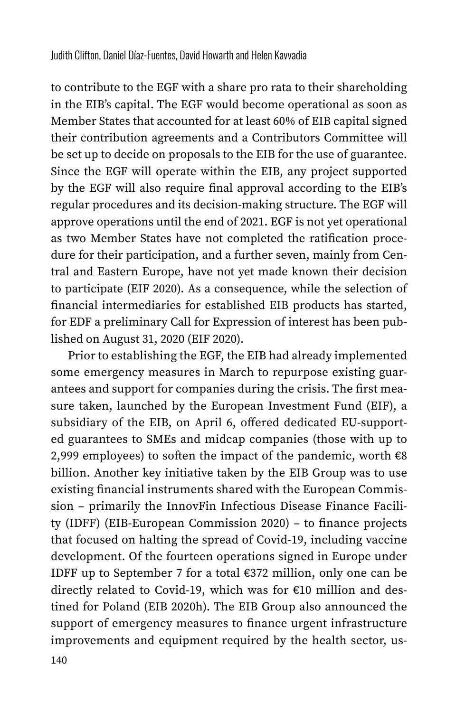to contribute to the EGF with a share pro rata to their shareholding in the EIB's capital. The EGF would become operational as soon as Member States that accounted for at least 60% of EIB capital signed their contribution agreements and a Contributors Committee will be set up to decide on proposals to the EIB for the use of guarantee. Since the EGF will operate within the EIB, any project supported by the EGF will also require final approval according to the EIB's regular procedures and its decision-making structure. The EGF will approve operations until the end of 2021. EGF is not yet operational as two Member States have not completed the ratification procedure for their participation, and a further seven, mainly from Central and Eastern Europe, have not yet made known their decision to participate (EIF 2020). As a consequence, while the selection of financial intermediaries for established EIB products has started, for EDF a preliminary Call for Expression of interest has been published on August 31, 2020 (EIF 2020).

Prior to establishing the EGF, the EIB had already implemented some emergency measures in March to repurpose existing guarantees and support for companies during the crisis. The first measure taken, launched by the European Investment Fund (EIF), a subsidiary of the EIB, on April 6, offered dedicated EU-supported guarantees to SMEs and midcap companies (those with up to 2,999 employees) to soften the impact of the pandemic, worth  $\varepsilon$ 8 billion. Another key initiative taken by the EIB Group was to use existing financial instruments shared with the European Commission – primarily the InnovFin Infectious Disease Finance Facility (IDFF) (EIB-European Commission 2020) – to finance projects that focused on halting the spread of Covid-19, including vaccine development. Of the fourteen operations signed in Europe under IDFF up to September 7 for a total €372 million, only one can be directly related to Covid-19, which was for €10 million and destined for Poland (EIB 2020h). The EIB Group also announced the support of emergency measures to finance urgent infrastructure improvements and equipment required by the health sector, us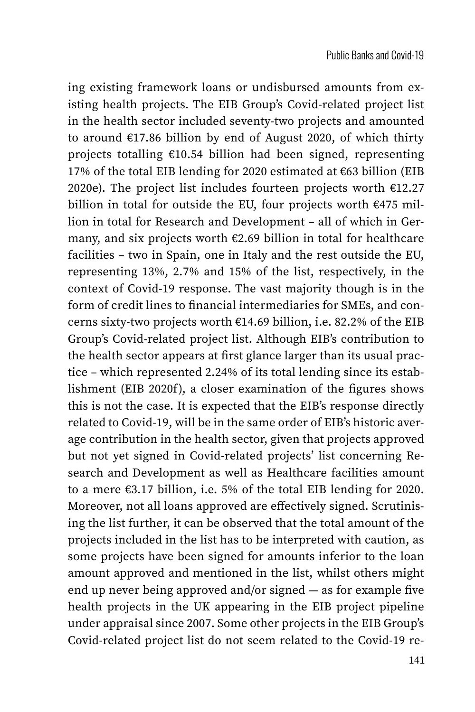ing existing framework loans or undisbursed amounts from existing health projects. The EIB Group's Covid-related project list in the health sector included seventy-two projects and amounted to around €17.86 billion by end of August 2020, of which thirty projects totalling €10.54 billion had been signed, representing 17% of the total EIB lending for 2020 estimated at €63 billion (EIB 2020e). The project list includes fourteen projects worth  $£12.27$ billion in total for outside the EU, four projects worth €475 million in total for Research and Development – all of which in Germany, and six projects worth €2.69 billion in total for healthcare facilities – two in Spain, one in Italy and the rest outside the EU, representing 13%, 2.7% and 15% of the list, respectively, in the context of Covid-19 response. The vast majority though is in the form of credit lines to financial intermediaries for SMEs, and concerns sixty-two projects worth €14.69 billion, i.e. 82.2% of the EIB Group's Covid-related project list. Although EIB's contribution to the health sector appears at first glance larger than its usual practice – which represented 2.24% of its total lending since its establishment (EIB 2020f), a closer examination of the figures shows this is not the case. It is expected that the EIB's response directly related to Covid-19, will be in the same order of EIB's historic average contribution in the health sector, given that projects approved but not yet signed in Covid-related projects' list concerning Research and Development as well as Healthcare facilities amount to a mere €3.17 billion, i.e. 5% of the total EIB lending for 2020. Moreover, not all loans approved are effectively signed. Scrutinising the list further, it can be observed that the total amount of the projects included in the list has to be interpreted with caution, as some projects have been signed for amounts inferior to the loan amount approved and mentioned in the list, whilst others might end up never being approved and/or signed — as for example five health projects in the UK appearing in the EIB project pipeline under appraisal since 2007. Some other projects in the EIB Group's Covid-related project list do not seem related to the Covid-19 re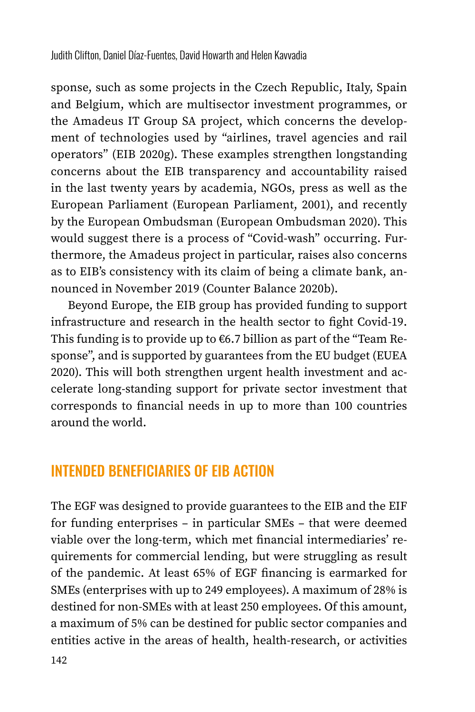sponse, such as some projects in the Czech Republic, Italy, Spain and Belgium, which are multisector investment programmes, or the Amadeus IT Group SA project, which concerns the development of technologies used by "airlines, travel agencies and rail operators" (EIB 2020g). These examples strengthen longstanding concerns about the EIB transparency and accountability raised in the last twenty years by academia, NGOs, press as well as the European Parliament (European Parliament, 2001), and recently by the European Ombudsman (European Ombudsman 2020). This would suggest there is a process of "Covid-wash" occurring. Furthermore, the Amadeus project in particular, raises also concerns as to EIB's consistency with its claim of being a climate bank, announced in November 2019 (Counter Balance 2020b).

Beyond Europe, the EIB group has provided funding to support infrastructure and research in the health sector to fight Covid-19. This funding is to provide up to  $6.7$  billion as part of the "Team Response", and is supported by guarantees from the EU budget (EUEA 2020). This will both strengthen urgent health investment and accelerate long-standing support for private sector investment that corresponds to financial needs in up to more than 100 countries around the world.

## INTENDED BENEFICIARIES OF EIB ACTION

The EGF was designed to provide guarantees to the EIB and the EIF for funding enterprises – in particular SMEs – that were deemed viable over the long-term, which met financial intermediaries' requirements for commercial lending, but were struggling as result of the pandemic. At least 65% of EGF financing is earmarked for SMEs (enterprises with up to 249 employees). A maximum of 28% is destined for non-SMEs with at least 250 employees. Of this amount, a maximum of 5% can be destined for public sector companies and entities active in the areas of health, health-research, or activities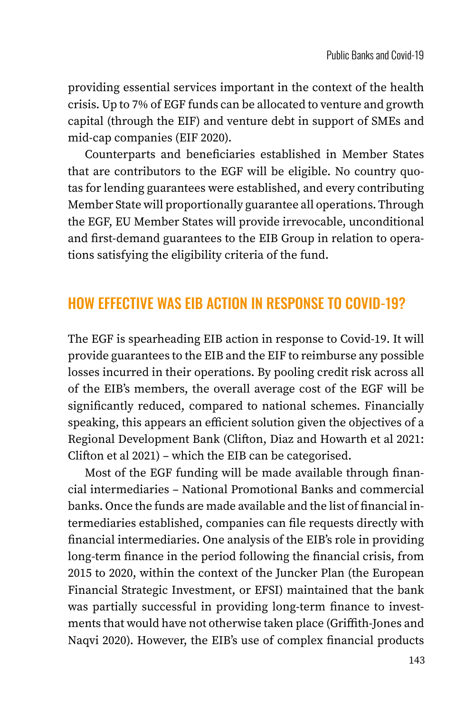providing essential services important in the context of the health crisis. Up to 7% of EGF funds can be allocated to venture and growth capital (through the EIF) and venture debt in support of SMEs and mid-cap companies (EIF 2020).

Counterparts and beneficiaries established in Member States that are contributors to the EGF will be eligible. No country quotas for lending guarantees were established, and every contributing Member State will proportionally guarantee all operations. Through the EGF, EU Member States will provide irrevocable, unconditional and first-demand guarantees to the EIB Group in relation to operations satisfying the eligibility criteria of the fund.

# HOW EFFECTIVE WAS EIB ACTION IN RESPONSE TO COVID-19?

The EGF is spearheading EIB action in response to Covid-19. It will provide guarantees to the EIB and the EIF to reimburse any possible losses incurred in their operations. By pooling credit risk across all of the EIB's members, the overall average cost of the EGF will be significantly reduced, compared to national schemes. Financially speaking, this appears an efficient solution given the objectives of a Regional Development Bank (Clifton, Diaz and Howarth et al 2021: Clifton et al 2021) – which the EIB can be categorised.

Most of the EGF funding will be made available through financial intermediaries – National Promotional Banks and commercial banks. Once the funds are made available and the list of financial intermediaries established, companies can file requests directly with financial intermediaries. One analysis of the EIB's role in providing long-term finance in the period following the financial crisis, from 2015 to 2020, within the context of the Juncker Plan (the European Financial Strategic Investment, or EFSI) maintained that the bank was partially successful in providing long-term finance to investments that would have not otherwise taken place (Griffith-Jones and Naqvi 2020). However, the EIB's use of complex financial products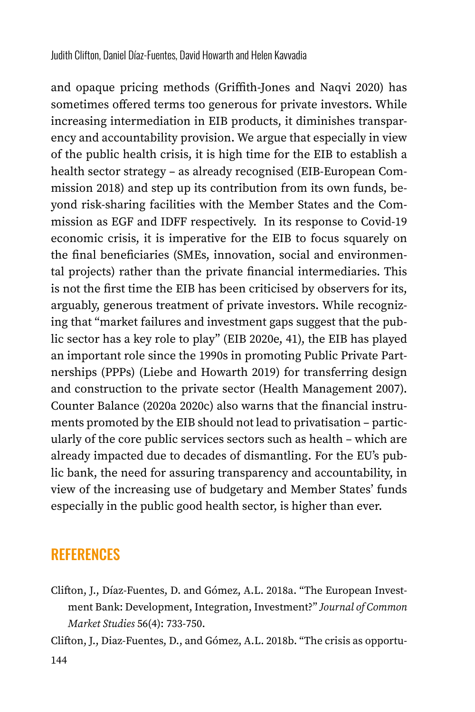and opaque pricing methods (Griffith-Jones and Naqvi 2020) has sometimes offered terms too generous for private investors. While increasing intermediation in EIB products, it diminishes transparency and accountability provision. We argue that especially in view of the public health crisis, it is high time for the EIB to establish a health sector strategy – as already recognised (EIB-European Commission 2018) and step up its contribution from its own funds, beyond risk-sharing facilities with the Member States and the Commission as EGF and IDFF respectively. In its response to Covid-19 economic crisis, it is imperative for the EIB to focus squarely on the final beneficiaries (SMEs, innovation, social and environmental projects) rather than the private financial intermediaries. This is not the first time the EIB has been criticised by observers for its, arguably, generous treatment of private investors. While recognizing that "market failures and investment gaps suggest that the public sector has a key role to play" (EIB 2020e, 41), the EIB has played an important role since the 1990s in promoting Public Private Partnerships (PPPs) (Liebe and Howarth 2019) for transferring design and construction to the private sector (Health Management 2007). Counter Balance (2020a 2020c) also warns that the financial instruments promoted by the EIB should not lead to privatisation – particularly of the core public services sectors such as health – which are already impacted due to decades of dismantling. For the EU's public bank, the need for assuring transparency and accountability, in view of the increasing use of budgetary and Member States' funds especially in the public good health sector, is higher than ever.

#### **REFERENCES**

Clifton, J., Díaz-Fuentes, D. and Gómez, A.L. 2018a. "The European Investment Bank: Development, Integration, Investment?" *Journal of Common Market Studies* 56(4): 733-750.

Clifton, J., Diaz-Fuentes, D., and Gómez, A.L. 2018b. "The crisis as opportu-

144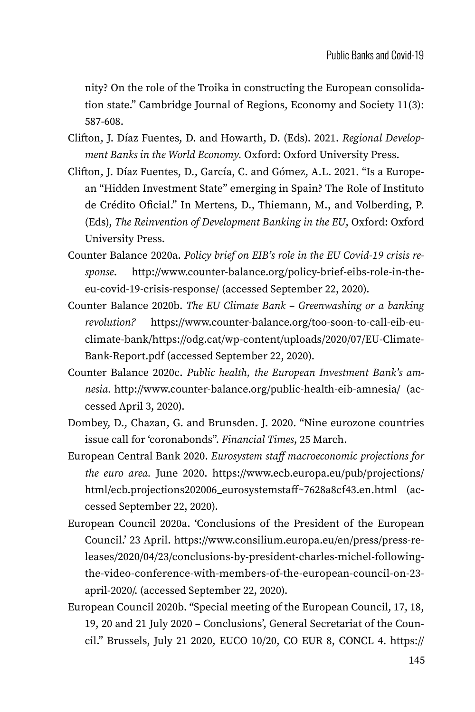nity? On the role of the Troika in constructing the European consolidation state." Cambridge Journal of Regions, Economy and Society 11(3): 587-608.

- Clifton, J. Díaz Fuentes, D. and Howarth, D. (Eds). 2021. *Regional Development Banks in the World Economy.* Oxford: Oxford University Press.
- Clifton, J. Díaz Fuentes, D., García, C. and Gómez, A.L. 2021. "Is a European "Hidden Investment State" emerging in Spain? The Role of Instituto de Crédito Oficial." In Mertens, D., Thiemann, M., and Volberding, P. (Eds), *The Reinvention of Development Banking in the EU*, Oxford: Oxford University Press.
- Counter Balance 2020a. *Policy brief on EIB's role in the EU Covid-19 crisis response*. [http://www.counter-balance.org/policy-brief-eibs-role-in-the](http://www.counter-balance.org/policy-brief-eibs-role-in-the-eu-covid-19-crisis-response/)[eu-covid-19-crisis-response/](http://www.counter-balance.org/policy-brief-eibs-role-in-the-eu-covid-19-crisis-response/) (accessed September 22, 2020).
- Counter Balance 2020b. *The EU Climate Bank Greenwashing or a banking revolution?* [https://www.counter-balance.org/too-soon-to-call-eib-eu](https://www.counter-balance.org/too-soon-to-call-eib-eu-climate-bank/https)[climate-bank/https:](https://www.counter-balance.org/too-soon-to-call-eib-eu-climate-bank/https)//odg.cat/wp-content/uploads/2020/07/EU-Climate-Bank-Report.pdf (accessed September 22, 2020).
- Counter Balance 2020c. *Public health, the European Investment Bank's amnesia.* <http://www.counter-balance.org/public-health-eib-amnesia/> (accessed April 3, 2020).
- Dombey, D., Chazan, G. and Brunsden. J. 2020. "Nine eurozone countries issue call for 'coronabonds". *Financial Times*, 25 March.
- European Central Bank 2020. *Eurosystem staff macroeconomic projections for the euro area.* June 2020. [https://www.ecb.europa.eu/pub/projections/](https://www.ecb.europa.eu/pub/projections/html/ecb.projections202006_eurosystemstaff~7628a8cf43.en.html) [html/ecb.projections202006\\_eurosystemstaff~7628a8cf43.en.html](https://www.ecb.europa.eu/pub/projections/html/ecb.projections202006_eurosystemstaff~7628a8cf43.en.html) (accessed September 22, 2020).
- European Council 2020a. 'Conclusions of the President of the European Council.' 23 April. [https://www.consilium.europa.eu/en/press/press-re](https://www.consilium.europa.eu/en/press/press-releases/2020/04/23/conclusions-by-president-charles-michel-following-the-video-conference-with-members-of-the-european-council-on-23-april-2020/)[leases/2020/04/23/conclusions-by-president-charles-michel-following](https://www.consilium.europa.eu/en/press/press-releases/2020/04/23/conclusions-by-president-charles-michel-following-the-video-conference-with-members-of-the-european-council-on-23-april-2020/)[the-video-conference-with-members-of-the-european-council-on-23](https://www.consilium.europa.eu/en/press/press-releases/2020/04/23/conclusions-by-president-charles-michel-following-the-video-conference-with-members-of-the-european-council-on-23-april-2020/) [april-2020/](https://www.consilium.europa.eu/en/press/press-releases/2020/04/23/conclusions-by-president-charles-michel-following-the-video-conference-with-members-of-the-european-council-on-23-april-2020/). (accessed September 22, 2020).
- European Council 2020b. "Special meeting of the European Council, 17, 18, 19, 20 and 21 July 2020 – Conclusions', General Secretariat of the Council." Brussels, July 21 2020, EUCO 10/20, CO EUR 8, CONCL 4. [https://](https://www.consilium.europa.eu/media/45109/210720-euco-final-conclusions-en.pdf)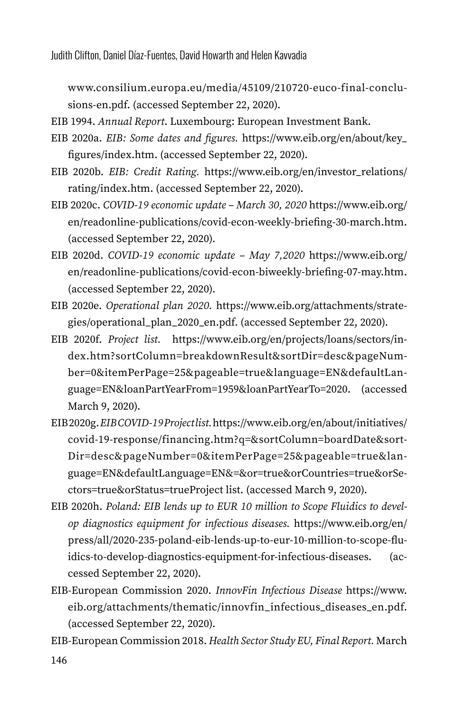Judith Clifton, Daniel Díaz-Fuentes, David Howarth and Helen Kavvadia

[www.consilium.europa.eu/media/45109/210720-euco-final-conclu](https://www.consilium.europa.eu/media/45109/210720-euco-final-conclusions-en.pdf)[sions-en.pdf](https://www.consilium.europa.eu/media/45109/210720-euco-final-conclusions-en.pdf). (accessed September 22, 2020).

EIB 1994. *Annual Report*. Luxembourg: European Investment Bank.

- EIB 2020a. *EIB: Some dates and figures.* [https://www.eib.org/en/about/key\\_](https://www.eib.org/en/about/key_figures/index.htm) [figures/index.htm.](https://www.eib.org/en/about/key_figures/index.htm) (accessed September 22, 2020).
- EIB 2020b. *EIB: Credit Rating.* [https://www.eib.org/en/investor\\_relations/](https://www.eib.org/en/investor_relations/rating/index.htm) [rating/index.htm](https://www.eib.org/en/investor_relations/rating/index.htm). (accessed September 22, 2020).
- EIB 2020c. *COVID-19 economic update March 30, 2020* [https://www.eib.org/](https://www.eib.org/en/readonline-publications/covid-econ-weekly-briefing-30-march.htm) [en/readonline-publications/covid-econ-weekly-briefing-30-march.htm](https://www.eib.org/en/readonline-publications/covid-econ-weekly-briefing-30-march.htm). (accessed September 22, 2020).
- EIB 2020d. *COVID-19 economic update May 7,2020* [https://www.eib.org/](https://www.eib.org/en/readonline-publications/covid-econ-biweekly-briefing-07-may.htm) [en/readonline-publications/covid-econ-biweekly-briefing-07-may.htm](https://www.eib.org/en/readonline-publications/covid-econ-biweekly-briefing-07-may.htm). (accessed September 22, 2020).
- EIB 2020e. *Operational plan 2020.* [https://www.eib.org/attachments/strate](https://www.eib.org/attachments/strategies/operational_plan_2020_en.pdf)[gies/operational\\_plan\\_2020\\_en.pdf](https://www.eib.org/attachments/strategies/operational_plan_2020_en.pdf). (accessed September 22, 2020).
- EIB 2020f. *Project list.* [https://www.eib.org/en/projects/loans/sectors/in](https://www.eib.org/en/projects/loans/sectors/index.htm?sortColumn=breakdownResult&sortDir=desc&pageNumber=0&itemPerPage=25&pageable=true&language=EN&defaultLanguage=EN&loanPartYearFrom=1959&loanPartYearTo=2020)[dex.htm?sortColumn=breakdownResult&sortDir=desc&pageNum](https://www.eib.org/en/projects/loans/sectors/index.htm?sortColumn=breakdownResult&sortDir=desc&pageNumber=0&itemPerPage=25&pageable=true&language=EN&defaultLanguage=EN&loanPartYearFrom=1959&loanPartYearTo=2020)[ber=0&itemPerPage=25&pageable=true&language=EN&defaultLan](https://www.eib.org/en/projects/loans/sectors/index.htm?sortColumn=breakdownResult&sortDir=desc&pageNumber=0&itemPerPage=25&pageable=true&language=EN&defaultLanguage=EN&loanPartYearFrom=1959&loanPartYearTo=2020)[guage=EN&loanPartYearFrom=1959&loanPartYearTo=2020](https://www.eib.org/en/projects/loans/sectors/index.htm?sortColumn=breakdownResult&sortDir=desc&pageNumber=0&itemPerPage=25&pageable=true&language=EN&defaultLanguage=EN&loanPartYearFrom=1959&loanPartYearTo=2020). (accessed March 9, 2020).
- EIB 2020g. *EIB COVID-19 Project list.* [https://www.eib.org/en/about/initiatives/](https://www.eib.org/en/about/initiatives/covid-19-response/financing.htm?q=&sortColumn=boardDate&sortDir=desc&pageNumber=0&itemPerPage=25&pageable=true&language=EN&defaultLanguage=EN&=&or=true&orCountries=true&orSectors=true&orStatus=trueProject) [covid-19-response/financing.htm?q=&sortColumn=boardDate&sort](https://www.eib.org/en/about/initiatives/covid-19-response/financing.htm?q=&sortColumn=boardDate&sortDir=desc&pageNumber=0&itemPerPage=25&pageable=true&language=EN&defaultLanguage=EN&=&or=true&orCountries=true&orSectors=true&orStatus=trueProject)-[Dir=desc&pageNumber=0&itemPerPage=25&pageable=true&lan](https://www.eib.org/en/about/initiatives/covid-19-response/financing.htm?q=&sortColumn=boardDate&sortDir=desc&pageNumber=0&itemPerPage=25&pageable=true&language=EN&defaultLanguage=EN&=&or=true&orCountries=true&orSectors=true&orStatus=trueProject)[guage=EN&defaultLanguage=EN&=&or=true&orCountries=true&orSe](https://www.eib.org/en/about/initiatives/covid-19-response/financing.htm?q=&sortColumn=boardDate&sortDir=desc&pageNumber=0&itemPerPage=25&pageable=true&language=EN&defaultLanguage=EN&=&or=true&orCountries=true&orSectors=true&orStatus=trueProject)[ctors=true&orStatus=trueProject](https://www.eib.org/en/about/initiatives/covid-19-response/financing.htm?q=&sortColumn=boardDate&sortDir=desc&pageNumber=0&itemPerPage=25&pageable=true&language=EN&defaultLanguage=EN&=&or=true&orCountries=true&orSectors=true&orStatus=trueProject) list. (accessed March 9, 2020).
- EIB 2020h. *Poland: EIB lends up to EUR 10 million to Scope Fluidics to develop diagnostics equipment for infectious diseases.* [https://www.eib.org/en/](https://www.eib.org/en/press/all/2020-235-poland-eib-lends-up-to-eur-10-million-to-scope-fluidics-to-develop-diagnostics-equipment-for-infectious-diseases) [press/all/2020-235-poland-eib-lends-up-to-eur-10-million-to-scope-flu](https://www.eib.org/en/press/all/2020-235-poland-eib-lends-up-to-eur-10-million-to-scope-fluidics-to-develop-diagnostics-equipment-for-infectious-diseases)[idics-to-develop-diagnostics-equipment-for-infectious-diseases.](https://www.eib.org/en/press/all/2020-235-poland-eib-lends-up-to-eur-10-million-to-scope-fluidics-to-develop-diagnostics-equipment-for-infectious-diseases) (accessed September 22, 2020).
- EIB-European Commission 2020. *InnovFin Infectious Disease* [https://www.](https://www.eib.org/attachments/thematic/innovfin_infectious_diseases_en.pdf) [eib.org/attachments/thematic/innovfin\\_infectious\\_diseases\\_en.pdf](https://www.eib.org/attachments/thematic/innovfin_infectious_diseases_en.pdf). (accessed September 22, 2020).

EIB-European Commission 2018. *Health Sector Study EU, Final Report.* March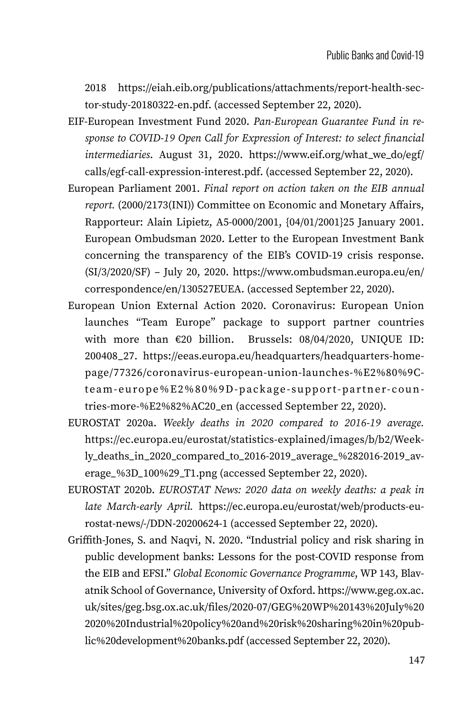2018 [https://eiah.eib.org/publications/attachments/report-health-sec](https://eiah.eib.org/publications/attachments/report-health-sector-study-20180322-en.pdf)[tor-study-20180322-en.pdf](https://eiah.eib.org/publications/attachments/report-health-sector-study-20180322-en.pdf). (accessed September 22, 2020).

- EIF-European Investment Fund 2020. *Pan-European Guarantee Fund in response to COVID-19 Open Call for Expression of Interest: to select financial intermediaries*. August 31, 2020. [https://www.eif.org/what\\_we\\_do/egf/](https://www.eif.org/what_we_do/egf/calls/egf-call-expression-interest.pdf) [calls/egf-call-expression-interest.pdf](https://www.eif.org/what_we_do/egf/calls/egf-call-expression-interest.pdf). (accessed September 22, 2020).
- European Parliament 2001. *Final report on action taken on the EIB annual report.* (2000/2173(INI)) Committee on Economic and Monetary Affairs, Rapporteur: Alain Lipietz, A5-0000/2001, {04/01/2001}25 January 2001. European Ombudsman 2020. Letter to the European Investment Bank concerning the transparency of the EIB's COVID-19 crisis response.  $(SI/3/2020/SF)$  – July 20, 2020. [https://www.ombudsman.europa.eu/en/](https://www.ombudsman.europa.eu/en/correspondence/en/130527EUEA) [correspondence/en/130527EUEA.](https://www.ombudsman.europa.eu/en/correspondence/en/130527EUEA) (accessed September 22, 2020).
- European Union External Action 2020. Coronavirus: European Union launches "Team Europe" package to support partner countries with more than €20 billion. Brussels: 08/04/2020, UNIQUE ID: 200408\_27. [https://eeas.europa.eu/headquarters/headquarters-home](https://eeas.europa.eu/headquarters/headquarters-homepage/77326/coronavirus-european-union-launches-%E2%80%9Cteam-europe%E2%80%9D-package-support-partner-countries-more-%E2%82%AC20_en)[page/77326/coronavirus-european-union-launches-%E2%80%9C](https://eeas.europa.eu/headquarters/headquarters-homepage/77326/coronavirus-european-union-launches-%E2%80%9Cteam-europe%E2%80%9D-package-support-partner-countries-more-%E2%82%AC20_en)[team-europe%E2%80%9D-package-support-partner-coun](https://eeas.europa.eu/headquarters/headquarters-homepage/77326/coronavirus-european-union-launches-%E2%80%9Cteam-europe%E2%80%9D-package-support-partner-countries-more-%E2%82%AC20_en)[tries-more-%E2%82%AC20\\_en](https://eeas.europa.eu/headquarters/headquarters-homepage/77326/coronavirus-european-union-launches-%E2%80%9Cteam-europe%E2%80%9D-package-support-partner-countries-more-%E2%82%AC20_en) (accessed September 22, 2020).
- EUROSTAT 2020a. *Weekly deaths in 2020 compared to 2016-19 average.* [https://ec.europa.eu/eurostat/statistics-explained/images/b/b2/Week](https://ec.europa.eu/eurostat/statistics-explained/images/b/b2/Weekly_deaths_in_2020_compared_to_2016-2019_average_%282016-2019_average_%3D_100%29_T1.png)[ly\\_deaths\\_in\\_2020\\_compared\\_to\\_2016-2019\\_average\\_%282016-2019\\_av](https://ec.europa.eu/eurostat/statistics-explained/images/b/b2/Weekly_deaths_in_2020_compared_to_2016-2019_average_%282016-2019_average_%3D_100%29_T1.png)[erage\\_%3D\\_100%29\\_T1.png](https://ec.europa.eu/eurostat/statistics-explained/images/b/b2/Weekly_deaths_in_2020_compared_to_2016-2019_average_%282016-2019_average_%3D_100%29_T1.png) (accessed September 22, 2020).
- EUROSTAT 2020b. *EUROSTAT News: 2020 data on weekly deaths: a peak in late March-early April.* [https://ec.europa.eu/eurostat/web/products-eu](https://ec.europa.eu/eurostat/web/products-eurostat-news/-/DDN-20200624-1)[rostat-news/-/DDN-20200624-1](https://ec.europa.eu/eurostat/web/products-eurostat-news/-/DDN-20200624-1) (accessed September 22, 2020).
- Griffith-Jones, S. and Naqvi, N. 2020. "Industrial policy and risk sharing in public development banks: Lessons for the post-COVID response from the EIB and EFSI." *Global Economic Governance Programme*, WP 143, Blavatnik School of Governance, University of Oxford. [https://www.geg.ox.ac.](https://www.geg.ox.ac.uk/sites/geg.bsg.ox.ac.uk/files/2020-07/GEG%20WP%20143%20July%202020%20Industrial%20policy%20and%20risk%20sharing%20in%20public%20development%20banks.pdf) [uk/sites/geg.bsg.ox.ac.uk/files/2020-07/GEG%20WP%20143%20July%20](https://www.geg.ox.ac.uk/sites/geg.bsg.ox.ac.uk/files/2020-07/GEG%20WP%20143%20July%202020%20Industrial%20policy%20and%20risk%20sharing%20in%20public%20development%20banks.pdf) [2020%20Industrial%20policy%20and%20risk%20sharing%20in%20pub](https://www.geg.ox.ac.uk/sites/geg.bsg.ox.ac.uk/files/2020-07/GEG%20WP%20143%20July%202020%20Industrial%20policy%20and%20risk%20sharing%20in%20public%20development%20banks.pdf)[lic%20development%20banks.pdf](https://www.geg.ox.ac.uk/sites/geg.bsg.ox.ac.uk/files/2020-07/GEG%20WP%20143%20July%202020%20Industrial%20policy%20and%20risk%20sharing%20in%20public%20development%20banks.pdf) (accessed September 22, 2020).